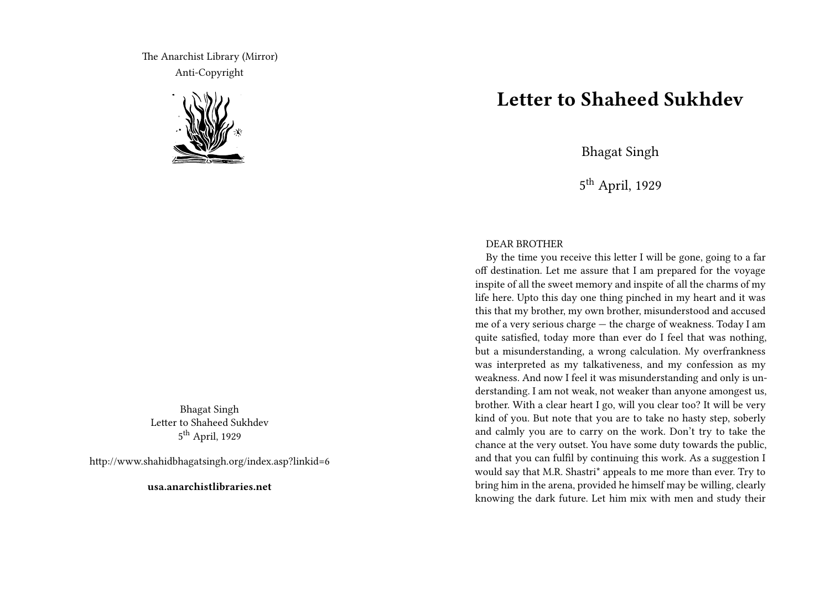The Anarchist Library (Mirror) Anti-Copyright



Bhagat Singh Letter to Shaheed Sukhdev 5<sup>th</sup> April, 1929

http://www.shahidbhagatsingh.org/index.asp?linkid=6

**usa.anarchistlibraries.net**

## **Letter to Shaheed Sukhdev**

Bhagat Singh

5<sup>th</sup> April, 1929

## DEAR BROTHER

By the time you receive this letter I will be gone, going to a far off destination. Let me assure that I am prepared for the voyage inspite of all the sweet memory and inspite of all the charms of my life here. Upto this day one thing pinched in my heart and it was this that my brother, my own brother, misunderstood and accused me of a very serious charge — the charge of weakness. Today I am quite satisfied, today more than ever do I feel that was nothing, but a misunderstanding, a wrong calculation. My overfrankness was interpreted as my talkativeness, and my confession as my weakness. And now I feel it was misunderstanding and only is understanding. I am not weak, not weaker than anyone amongest us, brother. With a clear heart I go, will you clear too? It will be very kind of you. But note that you are to take no hasty step, soberly and calmly you are to carry on the work. Don't try to take the chance at the very outset. You have some duty towards the public, and that you can fulfil by continuing this work. As a suggestion I would say that M.R. Shastri\* appeals to me more than ever. Try to bring him in the arena, provided he himself may be willing, clearly knowing the dark future. Let him mix with men and study their